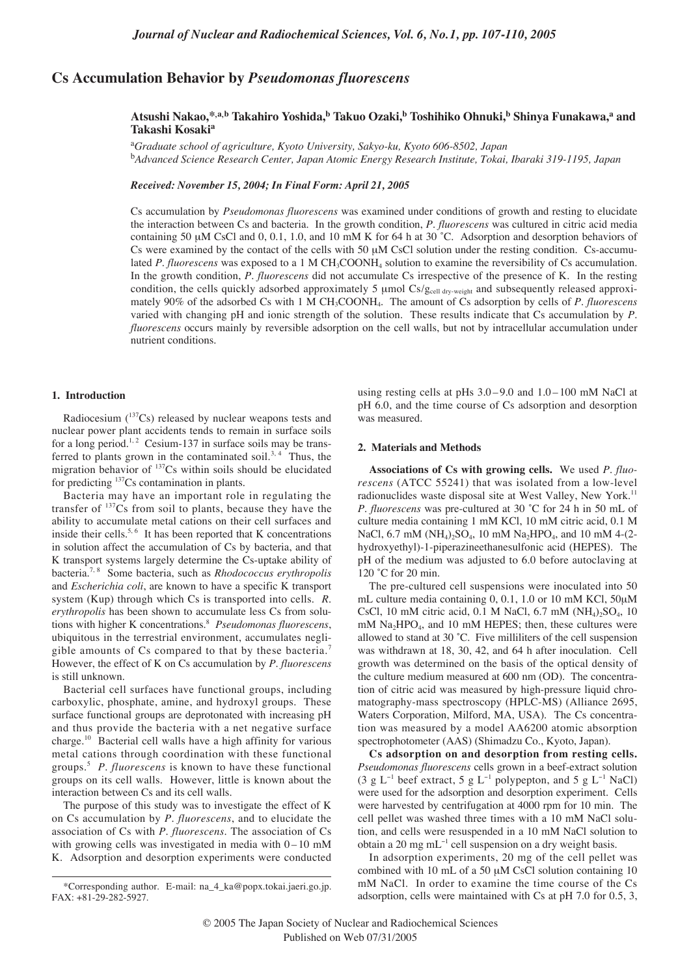# **Cs Accumulation Behavior by** *Pseudomonas fluorescens*

## **Atsushi Nakao,\*,a,b Takahiro Yoshida,b Takuo Ozaki,b Toshihiko Ohnuki,b Shinya Funakawa,a and Takashi Kosakia**

a *Graduate school of agriculture, Kyoto University, Sakyo-ku, Kyoto 606-8502, Japan* b *Advanced Science Research Center, Japan Atomic Energy Research Institute, Tokai, Ibaraki 319-1195, Japan*

*Received: November 15, 2004; In Final Form: April 21, 2005*

Cs accumulation by *Pseudomonas fluorescens* was examined under conditions of growth and resting to elucidate the interaction between Cs and bacteria. In the growth condition, *P. fluorescens* was cultured in citric acid media containing 50  $\mu$ M CsCl and 0, 0.1, 1.0, and 10 mM K for 64 h at 30 °C. Adsorption and desorption behaviors of Cs were examined by the contact of the cells with 50  $\mu$ M CsCl solution under the resting condition. Cs-accumulated *P. fluorescens* was exposed to a 1 M CH<sub>3</sub>COONH<sub>4</sub> solution to examine the reversibility of Cs accumulation. In the growth condition, *P. fluorescens* did not accumulate Cs irrespective of the presence of K. In the resting condition, the cells quickly adsorbed approximately 5  $\mu$ mol Cs/ $g_{cell}$  dry-weight and subsequently released approximately 90% of the adsorbed Cs with 1 M CH3COONH4. The amount of Cs adsorption by cells of *P. fluorescens* varied with changing pH and ionic strength of the solution. These results indicate that Cs accumulation by *P. fluorescens* occurs mainly by reversible adsorption on the cell walls, but not by intracellular accumulation under nutrient conditions.

### **1. Introduction**

Radiocesium  $(^{137}Cs)$  released by nuclear weapons tests and nuclear power plant accidents tends to remain in surface soils for a long period.<sup>1, 2</sup> Cesium-137 in surface soils may be transferred to plants grown in the contaminated soil.<sup>3, 4</sup> Thus, the migration behavior of <sup>137</sup>Cs within soils should be elucidated for predicting 137Cs contamination in plants.

Bacteria may have an important role in regulating the transfer of 137Cs from soil to plants, because they have the ability to accumulate metal cations on their cell surfaces and inside their cells.<sup>5, 6</sup> It has been reported that K concentrations in solution affect the accumulation of Cs by bacteria, and that K transport systems largely determine the Cs-uptake ability of bacteria.7, 8 Some bacteria, such as *Rhodococcus erythropolis* and *Escherichia coli*, are known to have a specific K transport system (Kup) through which Cs is transported into cells. *R. erythropolis* has been shown to accumulate less Cs from solutions with higher K concentrations.8 *Pseudomonas fluorescens*, ubiquitous in the terrestrial environment, accumulates negligible amounts of Cs compared to that by these bacteria.<sup>7</sup> However, the effect of K on Cs accumulation by *P. fluorescens* is still unknown.

Bacterial cell surfaces have functional groups, including carboxylic, phosphate, amine, and hydroxyl groups. These surface functional groups are deprotonated with increasing pH and thus provide the bacteria with a net negative surface charge.10 Bacterial cell walls have a high affinity for various metal cations through coordination with these functional groups.5 *P. fluorescens* is known to have these functional groups on its cell walls. However, little is known about the interaction between Cs and its cell walls.

The purpose of this study was to investigate the effect of K on Cs accumulation by *P. fluorescens*, and to elucidate the association of Cs with *P. fluorescens*. The association of Cs with growing cells was investigated in media with  $0-10$  mM K. Adsorption and desorption experiments were conducted

using resting cells at pHs 3.0–9.0 and 1.0–100 mM NaCl at pH 6.0, and the time course of Cs adsorption and desorption was measured.

### **2. Materials and Methods**

**Associations of Cs with growing cells.** We used *P. fluorescens* (ATCC 55241) that was isolated from a low-level radionuclides waste disposal site at West Valley, New York.<sup>11</sup> *P. fluorescens* was pre-cultured at 30 ˚C for 24 h in 50 mL of culture media containing 1 mM KCl, 10 mM citric acid, 0.1 M NaCl, 6.7 mM (NH<sub>4</sub>)<sub>2</sub>SO<sub>4</sub>, 10 mM Na<sub>2</sub>HPO<sub>4</sub>, and 10 mM 4-(2hydroxyethyl)-1-piperazineethanesulfonic acid (HEPES). The pH of the medium was adjusted to 6.0 before autoclaving at 120 °C for 20 min.

The pre-cultured cell suspensions were inoculated into 50 mL culture media containing 0, 0.1, 1.0 or 10 mM KCl, 50 $\mu$ M CsCl, 10 mM citric acid, 0.1 M NaCl, 6.7 mM  $(NH_4)_2SO_4$ , 10  $mM$  Na<sub>2</sub>HPO<sub>4</sub>, and 10 mM HEPES; then, these cultures were allowed to stand at 30 ˚C. Five milliliters of the cell suspension was withdrawn at 18, 30, 42, and 64 h after inoculation. Cell growth was determined on the basis of the optical density of the culture medium measured at 600 nm (OD). The concentration of citric acid was measured by high-pressure liquid chromatography-mass spectroscopy (HPLC-MS) (Alliance 2695, Waters Corporation, Milford, MA, USA). The Cs concentration was measured by a model AA6200 atomic absorption spectrophotometer (AAS) (Shimadzu Co., Kyoto, Japan).

**Cs adsorption on and desorption from resting cells.** *Pseudomonas fluorescens* cells grown in a beef-extract solution (3 g L<sup>-1</sup> beef extract, 5 g L<sup>-1</sup> polypepton, and 5 g L<sup>-1</sup> NaCl) were used for the adsorption and desorption experiment. Cells were harvested by centrifugation at 4000 rpm for 10 min. The cell pellet was washed three times with a 10 mM NaCl solution, and cells were resuspended in a 10 mM NaCl solution to obtain a 20 mg mL<sup>−</sup><sup>1</sup> cell suspension on a dry weight basis.

In adsorption experiments, 20 mg of the cell pellet was combined with 10 mL of a 50  $\mu$ M CsCl solution containing 10 mM NaCl. In order to examine the time course of the Cs adsorption, cells were maintained with Cs at pH 7.0 for 0.5, 3,

<sup>\*</sup>Corresponding author. E-mail: na\_4\_ka@popx.tokai.jaeri.go.jp. FAX: +81-29-282-5927.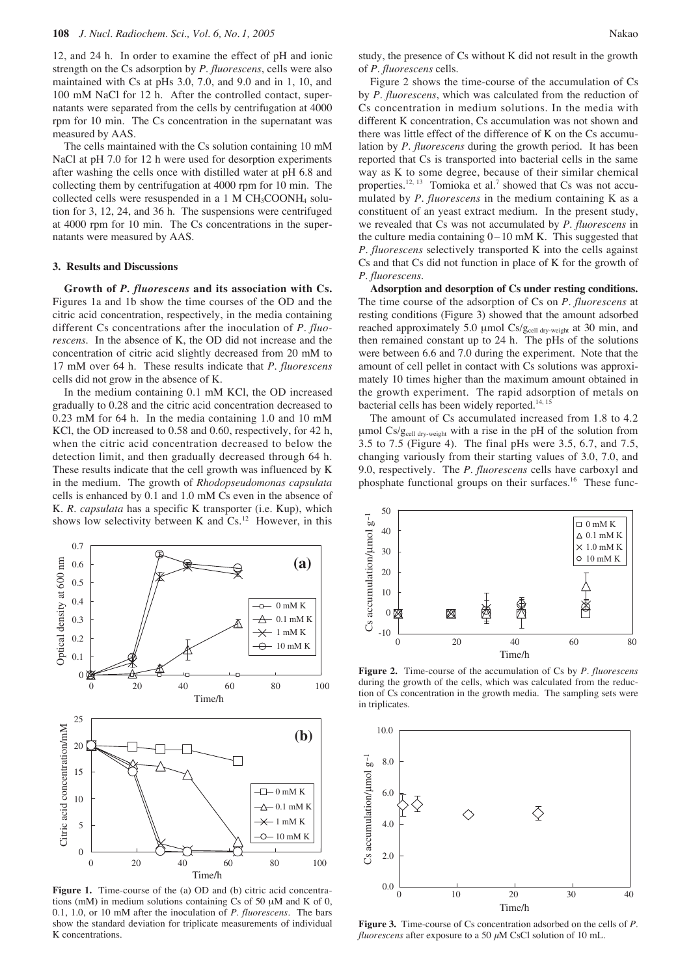12, and 24 h. In order to examine the effect of pH and ionic strength on the Cs adsorption by *P. fluorescens*, cells were also maintained with Cs at pHs 3.0, 7.0, and 9.0 and in 1, 10, and 100 mM NaCl for 12 h. After the controlled contact, supernatants were separated from the cells by centrifugation at 4000 rpm for 10 min. The Cs concentration in the supernatant was measured by AAS.

The cells maintained with the Cs solution containing 10 mM NaCl at pH 7.0 for 12 h were used for desorption experiments after washing the cells once with distilled water at pH 6.8 and collecting them by centrifugation at 4000 rpm for 10 min. The collected cells were resuspended in a 1 M  $CH_3COONH_4$  solution for 3, 12, 24, and 36 h. The suspensions were centrifuged at 4000 rpm for 10 min. The Cs concentrations in the supernatants were measured by AAS.

#### **3. Results and Discussions**

**Growth of** *P. fluorescens* **and its association with Cs.** Figures 1a and 1b show the time courses of the OD and the citric acid concentration, respectively, in the media containing different Cs concentrations after the inoculation of *P. fluorescens*. In the absence of K, the OD did not increase and the concentration of citric acid slightly decreased from 20 mM to 17 mM over 64 h. These results indicate that *P. fluorescens* cells did not grow in the absence of K.

In the medium containing 0.1 mM KCl, the OD increased gradually to 0.28 and the citric acid concentration decreased to 0.23 mM for 64 h. In the media containing 1.0 and 10 mM KCl, the OD increased to 0.58 and 0.60, respectively, for 42 h, when the citric acid concentration decreased to below the detection limit, and then gradually decreased through 64 h. These results indicate that the cell growth was influenced by K in the medium. The growth of *Rhodopseudomonas capsulata* cells is enhanced by 0.1 and 1.0 mM Cs even in the absence of K. *R. capsulata* has a specific K transporter (i.e. Kup), which shows low selectivity between K and  $Cs$ .<sup>12</sup> However, in this



**Figure 1.** Time-course of the (a) OD and (b) citric acid concentrations (mM) in medium solutions containing Cs of 50  $\mu$ M and K of 0, 0.1, 1.0, or 10 mM after the inoculation of *P. fluorescens*. The bars show the standard deviation for triplicate measurements of individual K concentrations.

study, the presence of Cs without K did not result in the growth of *P. fluorescens* cells.

Figure 2 shows the time-course of the accumulation of Cs by *P. fluorescens*, which was calculated from the reduction of Cs concentration in medium solutions. In the media with different K concentration, Cs accumulation was not shown and there was little effect of the difference of K on the Cs accumulation by *P. fluorescens* during the growth period. It has been reported that Cs is transported into bacterial cells in the same way as K to some degree, because of their similar chemical properties.<sup>12, 13</sup> Tomioka et al.<sup>7</sup> showed that Cs was not accumulated by *P. fluorescens* in the medium containing K as a constituent of an yeast extract medium. In the present study, we revealed that Cs was not accumulated by *P. fluorescens* in the culture media containing  $0 - 10$  mM K. This suggested that *P. fluorescens* selectively transported K into the cells against Cs and that Cs did not function in place of K for the growth of *P. fluorescens*.

**Adsorption and desorption of Cs under resting conditions.** The time course of the adsorption of Cs on *P. fluorescens* at resting conditions (Figure 3) showed that the amount adsorbed reached approximately 5.0 µmol  $Cs/g<sub>cell dry-weight</sub>$  at 30 min, and then remained constant up to 24 h. The pHs of the solutions were between 6.6 and 7.0 during the experiment. Note that the amount of cell pellet in contact with Cs solutions was approximately 10 times higher than the maximum amount obtained in the growth experiment. The rapid adsorption of metals on bacterial cells has been widely reported.<sup>14, 15</sup>

The amount of Cs accumulated increased from 1.8 to 4.2 µmol Cs/gcell dry-weight with a rise in the pH of the solution from 3.5 to 7.5 (Figure 4). The final pHs were 3.5, 6.7, and 7.5, changing variously from their starting values of 3.0, 7.0, and 9.0, respectively. The *P. fluorescens* cells have carboxyl and phosphate functional groups on their surfaces.<sup>16</sup> These func-



**Figure 2.** Time-course of the accumulation of Cs by *P. fluorescens* during the growth of the cells, which was calculated from the reduction of Cs concentration in the growth media. The sampling sets were in triplicates.



**Figure 3.** Time-course of Cs concentration adsorbed on the cells of *P. fluorescens* after exposure to a 50  $\mu$ M CsCl solution of 10 mL.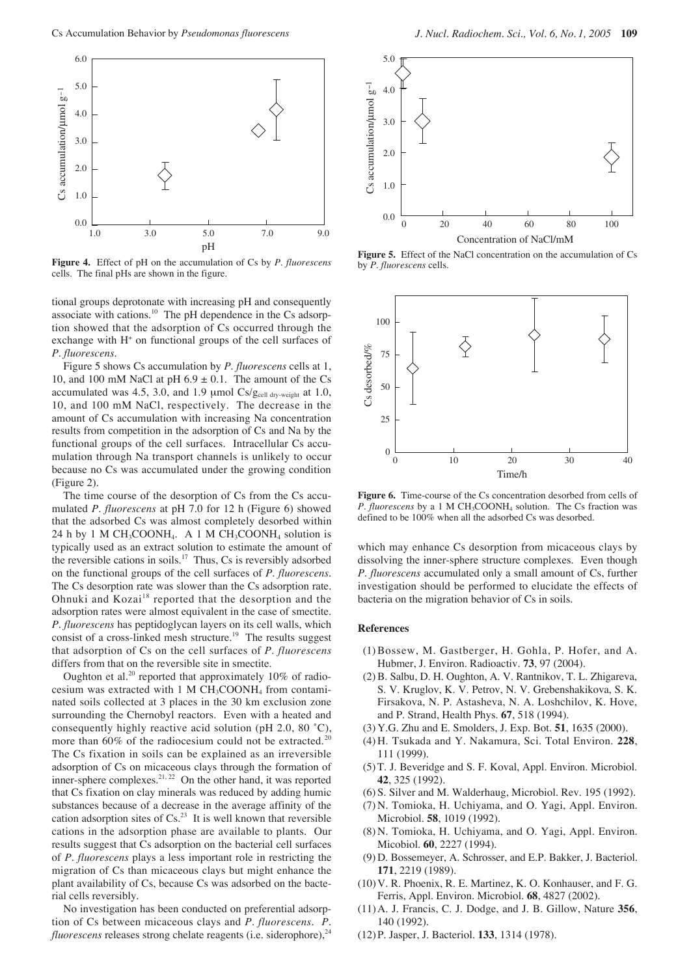

**Figure 4.** Effect of pH on the accumulation of Cs by *P. fluorescens* cells. The final pHs are shown in the figure.

tional groups deprotonate with increasing pH and consequently associate with cations.10 The pH dependence in the Cs adsorption showed that the adsorption of Cs occurred through the exchange with  $H<sup>+</sup>$  on functional groups of the cell surfaces of *P. fluorescens*.

Figure 5 shows Cs accumulation by *P. fluorescens* cells at 1, 10, and 100 mM NaCl at pH  $6.9 \pm 0.1$ . The amount of the Cs accumulated was 4.5, 3.0, and 1.9  $\mu$ mol Cs/ $g_{cell}$ <sub>dry-weight</sub> at 1.0, 10, and 100 mM NaCl, respectively. The decrease in the amount of Cs accumulation with increasing Na concentration results from competition in the adsorption of Cs and Na by the functional groups of the cell surfaces. Intracellular Cs accumulation through Na transport channels is unlikely to occur because no Cs was accumulated under the growing condition (Figure 2).

The time course of the desorption of Cs from the Cs accumulated *P. fluorescens* at pH 7.0 for 12 h (Figure 6) showed that the adsorbed Cs was almost completely desorbed within 24 h by 1 M CH<sub>3</sub>COONH<sub>4</sub>. A 1 M CH<sub>3</sub>COONH<sub>4</sub> solution is typically used as an extract solution to estimate the amount of the reversible cations in soils.<sup>17</sup> Thus, Cs is reversibly adsorbed on the functional groups of the cell surfaces of *P. fluorescens*. The Cs desorption rate was slower than the Cs adsorption rate. Ohnuki and Kozai<sup>18</sup> reported that the desorption and the adsorption rates were almost equivalent in the case of smectite. *P. fluorescens* has peptidoglycan layers on its cell walls, which consist of a cross-linked mesh structure.<sup>19</sup> The results suggest that adsorption of Cs on the cell surfaces of *P. fluorescens* differs from that on the reversible site in smectite.

Oughton et al.<sup>20</sup> reported that approximately  $10\%$  of radiocesium was extracted with 1 M CH3COONH4 from contaminated soils collected at 3 places in the 30 km exclusion zone surrounding the Chernobyl reactors. Even with a heated and consequently highly reactive acid solution (pH 2.0, 80 ˚C), more than  $60\%$  of the radiocesium could not be extracted.<sup>20</sup> The Cs fixation in soils can be explained as an irreversible adsorption of Cs on micaceous clays through the formation of inner-sphere complexes.<sup>21, 22</sup> On the other hand, it was reported that Cs fixation on clay minerals was reduced by adding humic substances because of a decrease in the average affinity of the cation adsorption sites of  $Cs^{23}$  It is well known that reversible cations in the adsorption phase are available to plants. Our results suggest that Cs adsorption on the bacterial cell surfaces of *P. fluorescens* plays a less important role in restricting the migration of Cs than micaceous clays but might enhance the plant availability of Cs, because Cs was adsorbed on the bacterial cells reversibly.

No investigation has been conducted on preferential adsorption of Cs between micaceous clays and *P. fluorescens*. *P. fluorescens* releases strong chelate reagents (i.e. siderophore),<sup>24</sup>



**Figure 5.** Effect of the NaCl concentration on the accumulation of Cs by *P. fluorescens* cells*.*



**Figure 6.** Time-course of the Cs concentration desorbed from cells of *P. fluorescens* by a 1 M CH<sub>3</sub>COONH<sub>4</sub> solution. The Cs fraction was defined to be 100% when all the adsorbed Cs was desorbed.

which may enhance Cs desorption from micaceous clays by dissolving the inner-sphere structure complexes. Even though *P. fluorescens* accumulated only a small amount of Cs, further investigation should be performed to elucidate the effects of bacteria on the migration behavior of Cs in soils.

### **References**

- (1)Bossew, M. Gastberger, H. Gohla, P. Hofer, and A. Hubmer, J. Environ. Radioactiv. **73**, 97 (2004).
- (2)B. Salbu, D. H. Oughton, A. V. Rantnikov, T. L. Zhigareva, S. V. Kruglov, K. V. Petrov, N. V. Grebenshakikova, S. K. Firsakova, N. P. Astasheva, N. A. Loshchilov, K. Hove, and P. Strand, Health Phys. **67**, 518 (1994).
- (3) Y.G. Zhu and E. Smolders, J. Exp. Bot. **51**, 1635 (2000).
- (4) H. Tsukada and Y. Nakamura, Sci. Total Environ. **228**, 111 (1999).
- (5) T. J. Beveridge and S. F. Koval, Appl. Environ. Microbiol. **42**, 325 (1992).
- (6) S. Silver and M. Walderhaug, Microbiol. Rev. 195 (1992).
- (7) N. Tomioka, H. Uchiyama, and O. Yagi, Appl. Environ. Microbiol. **58**, 1019 (1992).
- (8) N. Tomioka, H. Uchiyama, and O. Yagi, Appl. Environ. Micobiol. **60**, 2227 (1994).
- (9) D. Bossemeyer, A. Schrosser, and E.P. Bakker, J. Bacteriol. **171**, 2219 (1989).
- (10)V. R. Phoenix, R. E. Martinez, K. O. Konhauser, and F. G. Ferris, Appl. Environ. Microbiol. **68**, 4827 (2002).
- (11)A. J. Francis, C. J. Dodge, and J. B. Gillow, Nature **356**, 140 (1992).
- (12)P. Jasper, J. Bacteriol. **133**, 1314 (1978).